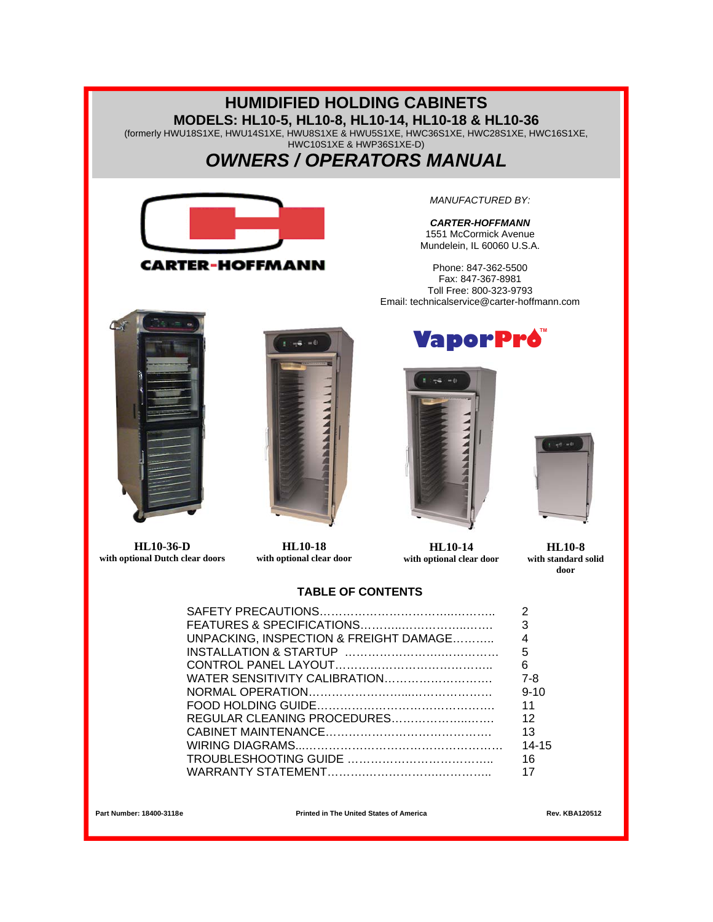### **HUMIDIFIED HOLDING CABINETS MODELS: HL10-5, HL10-8, HL10-14, HL10-18 & HL10-36**  (formerly HWU18S1XE, HWU14S1XE, HWU8S1XE & HWU5S1XE, HWC36S1XE, HWC28S1XE, HWC16S1XE, HWC10S1XE & HWP36S1XE-D) *OWNERS / OPERATORS MANUAL MANUFACTURED BY: CARTER-HOFFMANN*  1551 McCormick Avenue Mundelein, IL 60060 U.S.A. **CARTER-HOFFMANN** Phone: 847-362-5500 Fax: 847-367-8981 Toll Free: 800-323-9793 Email: technicalservice@carter-hoffmann.com **VaporPró HL10-36-D HL10-18 HL10-14 HL10-8 with optional Dutch clear doors with optional clear door with optional clear door with standard solid door TABLE OF CONTENTS**  SAFETY PRECAUTIONS……………………………..……….. 2 FEATURES & SPECIFICATIONS………..……………..……. 3

| 6         |
|-----------|
|           |
| $9 - 10$  |
|           |
|           |
| 13        |
| $14 - 15$ |
| 16        |
|           |

Part Number: 18400-3118e **Rev. KBA120512 Printed in The United States of America** Rev. KBA120512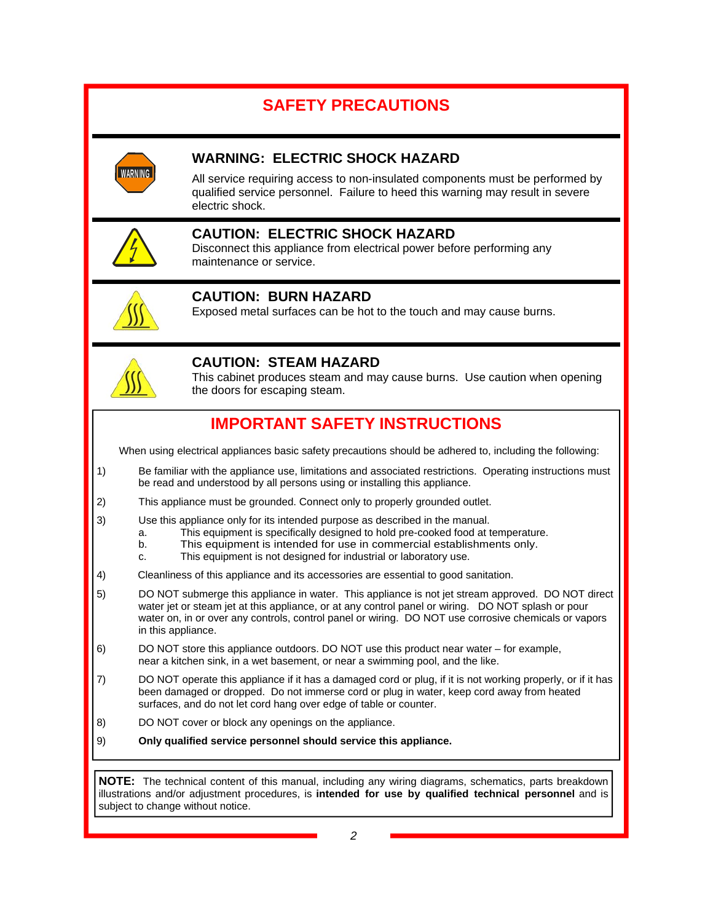## **SAFETY PRECAUTIONS**



### **WARNING: ELECTRIC SHOCK HAZARD**

All service requiring access to non-insulated components must be performed by qualified service personnel. Failure to heed this warning may result in severe electric shock.



### **CAUTION: ELECTRIC SHOCK HAZARD**

Disconnect this appliance from electrical power before performing any maintenance or service.



### **CAUTION: BURN HAZARD**

Exposed metal surfaces can be hot to the touch and may cause burns.



### **CAUTION: STEAM HAZARD**

This cabinet produces steam and may cause burns. Use caution when opening the doors for escaping steam.

### **IMPORTANT SAFETY INSTRUCTIONS**

When using electrical appliances basic safety precautions should be adhered to, including the following:

- 1) Be familiar with the appliance use, limitations and associated restrictions. Operating instructions must be read and understood by all persons using or installing this appliance.
- 2) This appliance must be grounded. Connect only to properly grounded outlet.
- 3) Use this appliance only for its intended purpose as described in the manual.
	- a. This equipment is specifically designed to hold pre-cooked food at temperature.
		- b. This equipment is intended for use in commercial establishments only.
	- c. This equipment is not designed for industrial or laboratory use.
- 4) Cleanliness of this appliance and its accessories are essential to good sanitation.
- 5) DO NOT submerge this appliance in water. This appliance is not jet stream approved. DO NOT direct water jet or steam jet at this appliance, or at any control panel or wiring. DO NOT splash or pour water on, in or over any controls, control panel or wiring. DO NOT use corrosive chemicals or vapors in this appliance.
- 6) DO NOT store this appliance outdoors. DO NOT use this product near water for example, near a kitchen sink, in a wet basement, or near a swimming pool, and the like.
- 7) DO NOT operate this appliance if it has a damaged cord or plug, if it is not working properly, or if it has been damaged or dropped. Do not immerse cord or plug in water, keep cord away from heated surfaces, and do not let cord hang over edge of table or counter.
- 8) DO NOT cover or block any openings on the appliance.
- 9) **Only qualified service personnel should service this appliance.**

**NOTE:** The technical content of this manual, including any wiring diagrams, schematics, parts breakdown illustrations and/or adjustment procedures, is **intended for use by qualified technical personnel** and is subject to change without notice.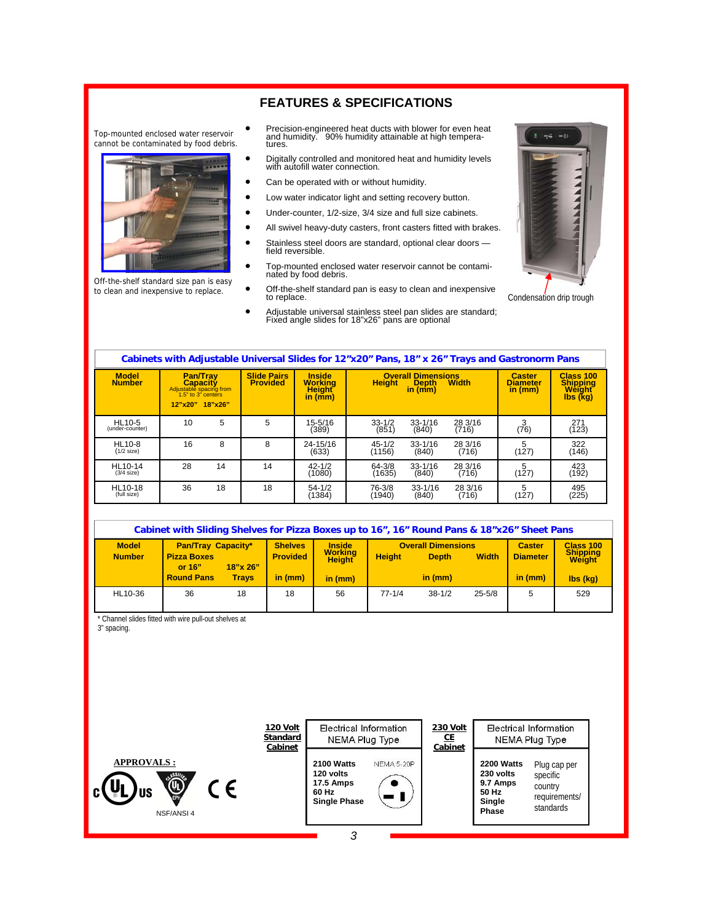### **FEATURES & SPECIFICATIONS**

Top-mounted enclosed water reservoir cannot be contaminated by food debris.



Off-the-shelf standard size pan is easy to clean and inexpensive to replace.

- Precision-engineered heat ducts with blower for even heat and humidity. 90% humidity attainable at high tempera-tures.
- Digitally controlled and monitored heat and humidity levels with autofill water connection.
- Can be operated with or without humidity.
- Low water indicator light and setting recovery button.
- Under-counter, 1/2-size, 3/4 size and full size cabinets.
- All swivel heavy-duty casters, front casters fitted with brakes.
- Stainless steel doors are standard, optional clear doors field reversible.
- Top-mounted enclosed water reservoir cannot be contami-nated by food debris.
- Off-the-shelf standard pan is easy to clean and inexpensive to replace.
- Adjustable universal stainless steel pan slides are standard; Fixed angle slides for 18"x26" pans are optional



Condensation drip trough

| Cabinets with Adjustable Universal Slides for 12"x20" Pans, 18" x 26" Trays and Gastronorm Pans |                                                                                                            |    |                                       |                                                                          |                      |                                                      |                  |                                             |                                                    |
|-------------------------------------------------------------------------------------------------|------------------------------------------------------------------------------------------------------------|----|---------------------------------------|--------------------------------------------------------------------------|----------------------|------------------------------------------------------|------------------|---------------------------------------------|----------------------------------------------------|
| <b>Model</b><br><b>Number</b>                                                                   | <b>Pan/Trav</b><br><b>Capacity</b><br>Adjustable spacing from<br>1.5" to 3" centers<br>$12"x20"$ $18"x26"$ |    | <b>Slide Pairs</b><br><b>Provided</b> | <b>Inside</b><br><b>Working</b><br><b>Height</b><br>in $(\overline{mm})$ | <b>Height</b>        | <b>Overall Dimensions</b><br><b>Depth</b><br>in (mm) | <b>Width</b>     | <b>Caster</b><br><b>Diameter</b><br>in (mm) | Class 100<br><b>Shipping</b><br>Weight<br>Ibs (kg) |
| HL10-5<br>(under-counter)                                                                       | 10                                                                                                         | 5  | 5                                     | 15-5/16<br>(389)                                                         | $33 - 1/2$<br>(851)  | $33 - 1/16$<br>(840)                                 | 28 3/16<br>(716) | 3<br>(76)                                   | 271<br>(123)                                       |
| <b>HL10-8</b><br>$(1/2$ size)                                                                   | 16                                                                                                         | 8  | 8                                     | 24-15/16<br>(633)                                                        | $45 - 1/2$<br>(1156) | $33 - 1/16$<br>(840)                                 | 28 3/16<br>(716) | 5<br>(127)                                  | 322<br>(146)                                       |
| HL10-14<br>$(3/4$ size)                                                                         | 28                                                                                                         | 14 | 14                                    | $42 - 1/2$<br>(1080)                                                     | 64-3/8<br>(1635)     | $33 - 1/16$<br>(840)                                 | 28 3/16<br>(716) | 5<br>(127)                                  | 423<br>(192)                                       |
| HL10-18<br>(full size)                                                                          | 36                                                                                                         | 18 | 18                                    | $54 - 1/2$<br>(1384)                                                     | 76-3/8<br>(1940)     | $33 - 1/16$<br>(840)                                 | 28 3/16<br>(716) | 5<br>(127)                                  | 495<br>(225)                                       |

| Cabinet with Sliding Shelves for Pizza Boxes up to 16", 16" Round Pans & 18"x26" Sheet Pans |                                                             |              |                                   |                                           |               |                                           |              |                                  |                                               |
|---------------------------------------------------------------------------------------------|-------------------------------------------------------------|--------------|-----------------------------------|-------------------------------------------|---------------|-------------------------------------------|--------------|----------------------------------|-----------------------------------------------|
| <b>Model</b><br><b>Number</b>                                                               | <b>Pan/Tray Capacity*</b><br><b>Pizza Boxes</b><br>or $16"$ | 18"x 26"     | <b>Shelves</b><br><b>Provided</b> | <b>Inside</b><br><b>Working</b><br>Height | <b>Height</b> | <b>Overall Dimensions</b><br><b>Depth</b> | <b>Width</b> | <b>Caster</b><br><b>Diameter</b> | Class 100<br><b>Shipping</b><br><b>Weight</b> |
|                                                                                             | <b>Round Pans</b>                                           | <b>Travs</b> | in (mm)                           | in (mm)                                   |               | in (mm)                                   |              | in (mm)                          | $\mathsf{libs}(\mathsf{kq})$                  |
| HL10-36                                                                                     | 36                                                          | 18           | 18                                | 56                                        | $77 - 1/4$    | $38 - 1/2$                                | $25 - 5/8$   | 5                                | 529                                           |

\* Channel slides fitted with wire pull-out shelves at

3" spacing.

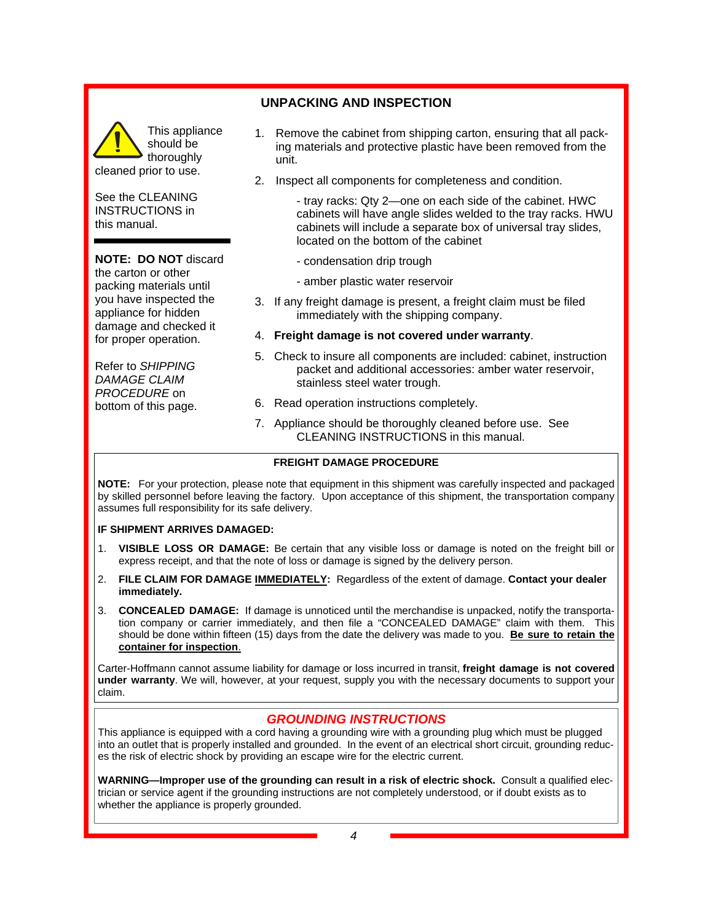# **UNPACKING AND INSPECTION**

This appliance should be thoroughly cleaned prior to use.

See the CLEANING INSTRUCTIONS in this manual.

### **NOTE: DO NOT** discard

the carton or other packing materials until you have inspected the appliance for hidden damage and checked it for proper operation.

Refer to *SHIPPING DAMAGE CLAIM PROCEDURE* on bottom of this page.

- 1. Remove the cabinet from shipping carton, ensuring that all packing materials and protective plastic have been removed from the unit.
- 2. Inspect all components for completeness and condition.

 - tray racks: Qty 2—one on each side of the cabinet. HWC cabinets will have angle slides welded to the tray racks. HWU cabinets will include a separate box of universal tray slides, located on the bottom of the cabinet

- condensation drip trough
- amber plastic water reservoir
- 3. If any freight damage is present, a freight claim must be filed immediately with the shipping company.
- 4. **Freight damage is not covered under warranty**.
- 5. Check to insure all components are included: cabinet, instruction packet and additional accessories: amber water reservoir, stainless steel water trough.
- 6. Read operation instructions completely.
- 7. Appliance should be thoroughly cleaned before use. See CLEANING INSTRUCTIONS in this manual.

#### **FREIGHT DAMAGE PROCEDURE**

**NOTE:** For your protection, please note that equipment in this shipment was carefully inspected and packaged by skilled personnel before leaving the factory. Upon acceptance of this shipment, the transportation company assumes full responsibility for its safe delivery.

#### **IF SHIPMENT ARRIVES DAMAGED:**

- 1. **VISIBLE LOSS OR DAMAGE:** Be certain that any visible loss or damage is noted on the freight bill or express receipt, and that the note of loss or damage is signed by the delivery person.
- 2. **FILE CLAIM FOR DAMAGE IMMEDIATELY:** Regardless of the extent of damage. **Contact your dealer immediately.**
- 3. **CONCEALED DAMAGE:** If damage is unnoticed until the merchandise is unpacked, notify the transportation company or carrier immediately, and then file a "CONCEALED DAMAGE" claim with them. This should be done within fifteen (15) days from the date the delivery was made to you. **Be sure to retain the container for inspection**.

Carter-Hoffmann cannot assume liability for damage or loss incurred in transit, **freight damage is not covered under warranty**. We will, however, at your request, supply you with the necessary documents to support your claim.

#### *GROUNDING INSTRUCTIONS*

This appliance is equipped with a cord having a grounding wire with a grounding plug which must be plugged into an outlet that is properly installed and grounded. In the event of an electrical short circuit, grounding reduces the risk of electric shock by providing an escape wire for the electric current.

**WARNING—Improper use of the grounding can result in a risk of electric shock.** Consult a qualified electrician or service agent if the grounding instructions are not completely understood, or if doubt exists as to whether the appliance is properly grounded.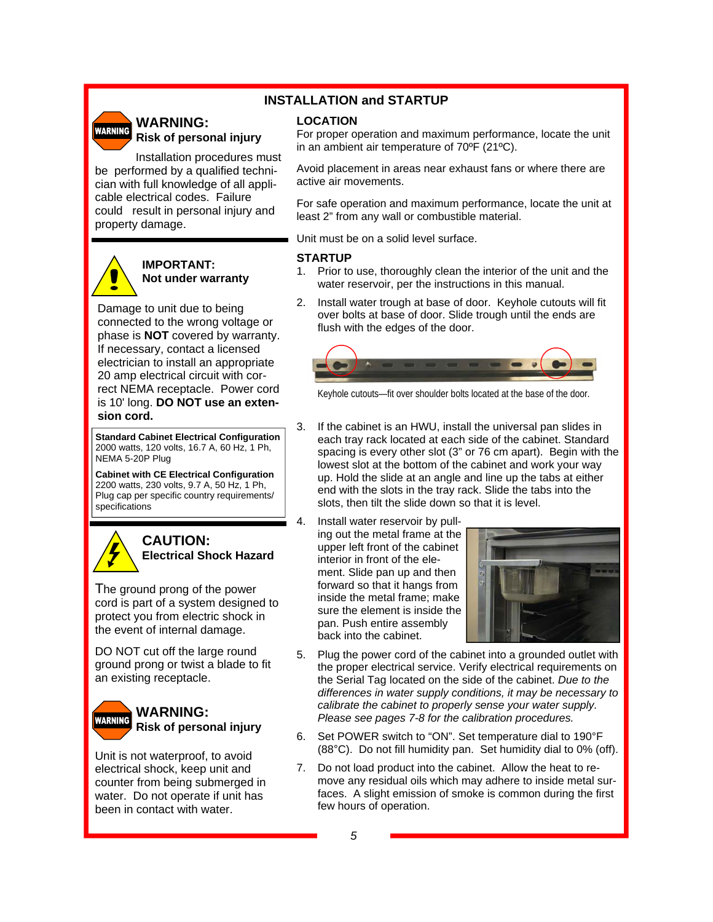#### **WARNING: WARNING Risk of personal injury**  Installation procedures must

### **INSTALLATION and STARTUP**

#### **LOCATION**

For proper operation and maximum performance, locate the unit in an ambient air temperature of 70ºF (21ºC).

Avoid placement in areas near exhaust fans or where there are active air movements.

For safe operation and maximum performance, locate the unit at least 2" from any wall or combustible material.

Unit must be on a solid level surface.

#### **STARTUP**

- 1. Prior to use, thoroughly clean the interior of the unit and the water reservoir, per the instructions in this manual.
- 2. Install water trough at base of door. Keyhole cutouts will fit over bolts at base of door. Slide trough until the ends are flush with the edges of the door.



Keyhole cutouts—fit over shoulder bolts located at the base of the door.

- 3. If the cabinet is an HWU, install the universal pan slides in each tray rack located at each side of the cabinet. Standard spacing is every other slot (3" or 76 cm apart). Begin with the lowest slot at the bottom of the cabinet and work your way up. Hold the slide at an angle and line up the tabs at either end with the slots in the tray rack. Slide the tabs into the slots, then tilt the slide down so that it is level.
- 4. Install water reservoir by pulling out the metal frame at the upper left front of the cabinet interior in front of the element. Slide pan up and then forward so that it hangs from inside the metal frame; make sure the element is inside the pan. Push entire assembly back into the cabinet.



- 5. Plug the power cord of the cabinet into a grounded outlet with the proper electrical service. Verify electrical requirements on the Serial Tag located on the side of the cabinet. *Due to the differences in water supply conditions, it may be necessary to calibrate the cabinet to properly sense your water supply. Please see pages 7-8 for the calibration procedures.*
- 6. Set POWER switch to "ON". Set temperature dial to 190°F (88°C). Do not fill humidity pan. Set humidity dial to 0% (off).
- 7. Do not load product into the cabinet. Allow the heat to remove any residual oils which may adhere to inside metal surfaces. A slight emission of smoke is common during the first few hours of operation.

property damage.

### **IMPORTANT: Not under warranty**

be performed by a qualified technician with full knowledge of all applicable electrical codes. Failure could result in personal injury and

Damage to unit due to being connected to the wrong voltage or phase is **NOT** covered by warranty. If necessary, contact a licensed electrician to install an appropriate 20 amp electrical circuit with correct NEMA receptacle. Power cord is 10' long. **DO NOT use an extension cord.** 

**Standard Cabinet Electrical Configuration**  2000 watts, 120 volts, 16.7 A, 60 Hz, 1 Ph, NEMA 5-20P Plug

**Cabinet with CE Electrical Configuration**  2200 watts, 230 volts, 9.7 A, 50 Hz, 1 Ph, Plug cap per specific country requirements/ specifications



### **CAUTION: Electrical Shock Hazard**

The ground prong of the power cord is part of a system designed to protect you from electric shock in the event of internal damage.

DO NOT cut off the large round ground prong or twist a blade to fit an existing receptacle.



#### **WARNING: Risk of personal injury**

Unit is not waterproof, to avoid electrical shock, keep unit and counter from being submerged in water. Do not operate if unit has been in contact with water.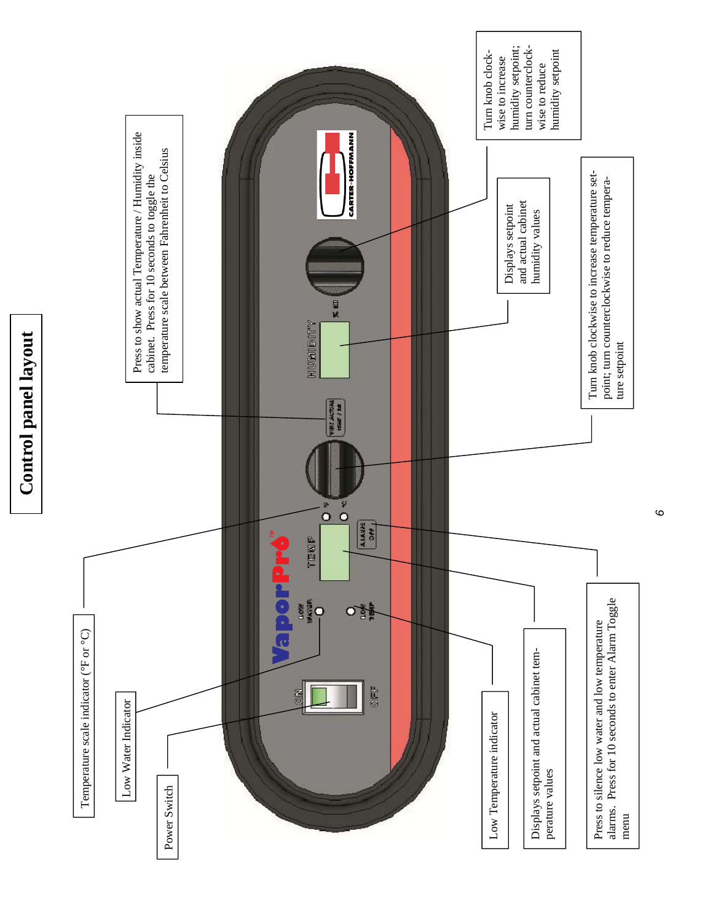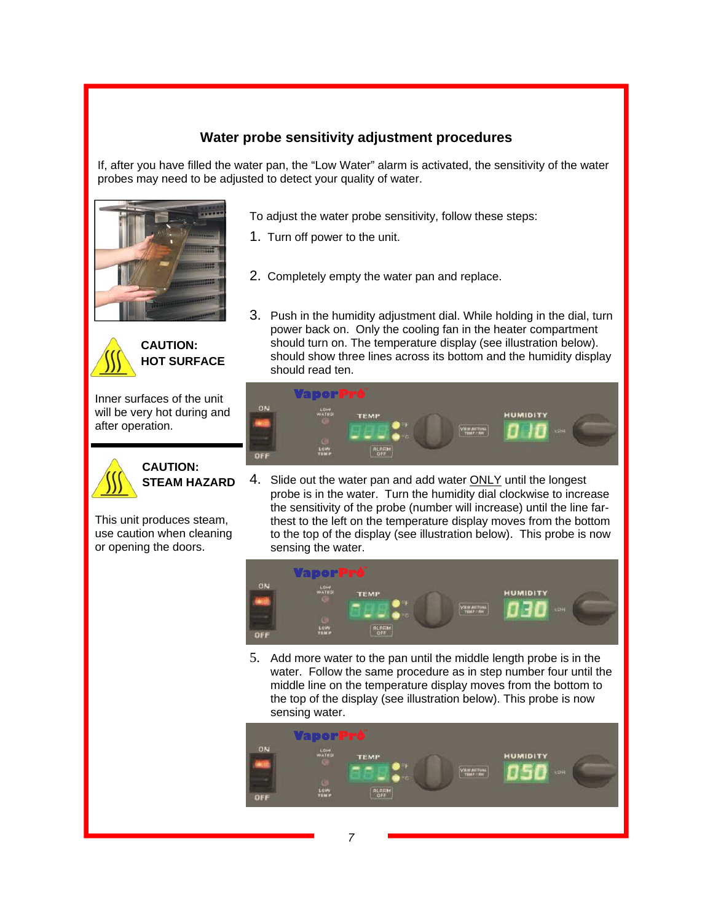### **Water probe sensitivity adjustment procedures**

If, after you have filled the water pan, the "Low Water" alarm is activated, the sensitivity of the water probes may need to be adjusted to detect your quality of water.





**CAUTION: HOT SURFACE** 

Inner surfaces of the unit will be very hot during and after operation.



### **CAUTION: STEAM HAZARD**

This unit produces steam, use caution when cleaning or opening the doors.

- To adjust the water probe sensitivity, follow these steps:
- 1. Turn off power to the unit.
- 2. Completely empty the water pan and replace.
- 3. Push in the humidity adjustment dial. While holding in the dial, turn power back on. Only the cooling fan in the heater compartment should turn on. The temperature display (see illustration below). should show three lines across its bottom and the humidity display should read ten.



4. Slide out the water pan and add water ONLY until the longest probe is in the water. Turn the humidity dial clockwise to increase the sensitivity of the probe (number will increase) until the line farthest to the left on the temperature display moves from the bottom to the top of the display (see illustration below). This probe is now sensing the water.



5. Add more water to the pan until the middle length probe is in the water. Follow the same procedure as in step number four until the middle line on the temperature display moves from the bottom to the top of the display (see illustration below). This probe is now sensing water.

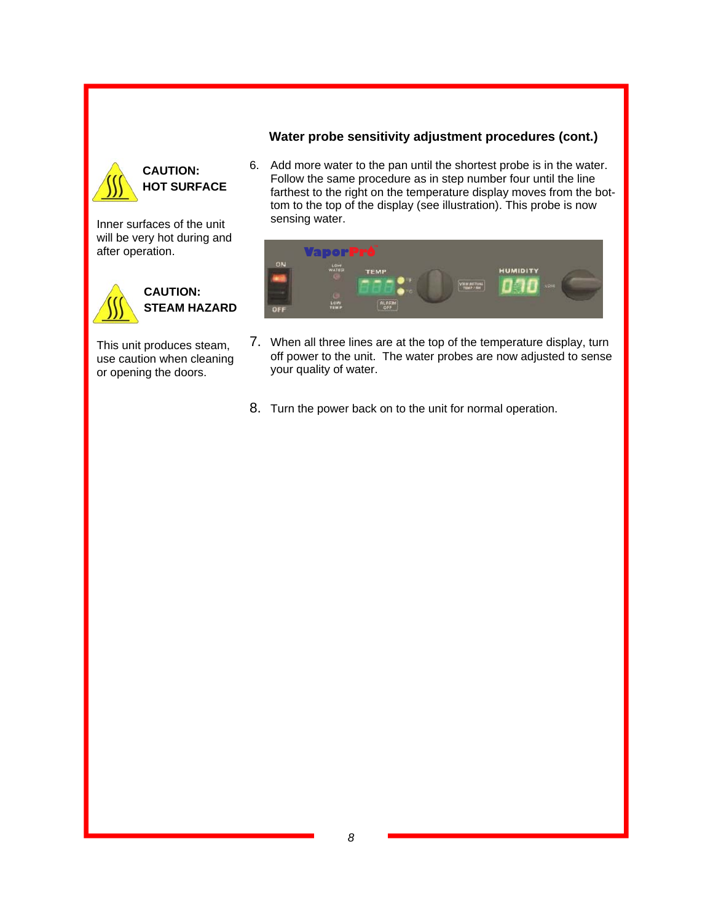### **Water probe sensitivity adjustment procedures (cont.)**



### **CAUTION: HOT SURFACE**

Inner surfaces of the unit will be very hot during and after operation.



This unit produces steam, use caution when cleaning or opening the doors.

6. Add more water to the pan until the shortest probe is in the water. Follow the same procedure as in step number four until the line farthest to the right on the temperature display moves from the bottom to the top of the display (see illustration). This probe is now sensing water.



- 7. When all three lines are at the top of the temperature display, turn off power to the unit. The water probes are now adjusted to sense your quality of water.
- 8. Turn the power back on to the unit for normal operation.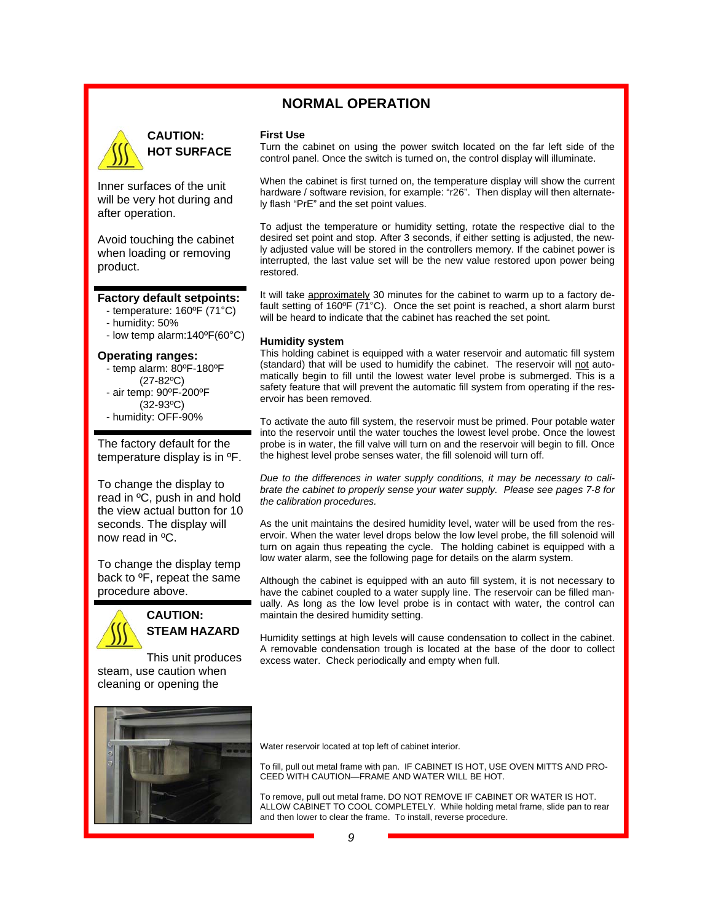### **NORMAL OPERATION**



### **CAUTION: HOT SURFACE**

Inner surfaces of the unit will be very hot during and after operation.

Avoid touching the cabinet when loading or removing product.

#### **Factory default setpoints:**

- temperature: 160ºF (71°C)
- humidity: 50%
- low temp alarm:140ºF(60°C)

#### **Operating ranges:**

- temp alarm: 80ºF-180ºF
- (27-82ºC) - air temp: 90ºF-200ºF
- (32-93ºC)
- humidity: OFF-90%

The factory default for the temperature display is in ºF.

To change the display to read in ºC, push in and hold the view actual button for 10 seconds. The display will now read in ºC.

To change the display temp back to ºF, repeat the same procedure above.



**CAUTION: STEAM HAZARD** 

This unit produces steam, use caution when cleaning or opening the

#### **First Use**

Turn the cabinet on using the power switch located on the far left side of the control panel. Once the switch is turned on, the control display will illuminate.

When the cabinet is first turned on, the temperature display will show the current hardware / software revision, for example: "r26". Then display will then alternately flash "PrE" and the set point values.

To adjust the temperature or humidity setting, rotate the respective dial to the desired set point and stop. After 3 seconds, if either setting is adjusted, the newly adjusted value will be stored in the controllers memory. If the cabinet power is interrupted, the last value set will be the new value restored upon power being restored.

It will take approximately 30 minutes for the cabinet to warm up to a factory default setting of 160ºF (71°C). Once the set point is reached, a short alarm burst will be heard to indicate that the cabinet has reached the set point.

#### **Humidity system**

This holding cabinet is equipped with a water reservoir and automatic fill system (standard) that will be used to humidify the cabinet. The reservoir will not automatically begin to fill until the lowest water level probe is submerged. This is a safety feature that will prevent the automatic fill system from operating if the reservoir has been removed.

To activate the auto fill system, the reservoir must be primed. Pour potable water into the reservoir until the water touches the lowest level probe. Once the lowest probe is in water, the fill valve will turn on and the reservoir will begin to fill. Once the highest level probe senses water, the fill solenoid will turn off.

*Due to the differences in water supply conditions, it may be necessary to calibrate the cabinet to properly sense your water supply. Please see pages 7-8 for the calibration procedures.* 

As the unit maintains the desired humidity level, water will be used from the reservoir. When the water level drops below the low level probe, the fill solenoid will turn on again thus repeating the cycle. The holding cabinet is equipped with a low water alarm, see the following page for details on the alarm system.

Although the cabinet is equipped with an auto fill system, it is not necessary to have the cabinet coupled to a water supply line. The reservoir can be filled manually. As long as the low level probe is in contact with water, the control can maintain the desired humidity setting.

Humidity settings at high levels will cause condensation to collect in the cabinet. A removable condensation trough is located at the base of the door to collect excess water. Check periodically and empty when full.



Water reservoir located at top left of cabinet interior.

To fill, pull out metal frame with pan. IF CABINET IS HOT, USE OVEN MITTS AND PRO-CEED WITH CAUTION—FRAME AND WATER WILL BE HOT.

To remove, pull out metal frame. DO NOT REMOVE IF CABINET OR WATER IS HOT. ALLOW CABINET TO COOL COMPLETELY. While holding metal frame, slide pan to rear and then lower to clear the frame. To install, reverse procedure.

*9*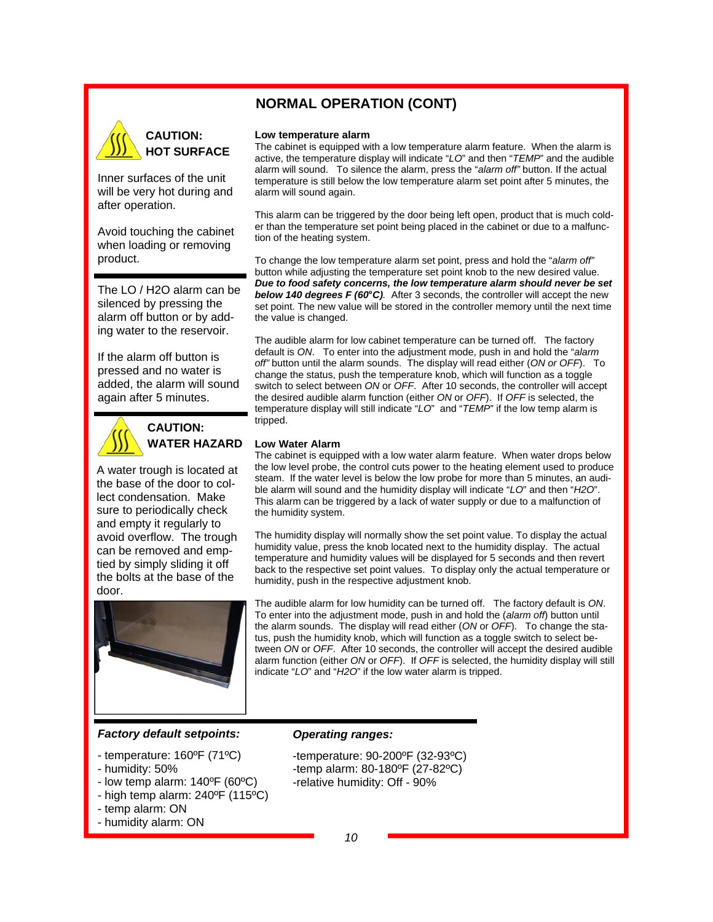### **NORMAL OPERATION (CONT)**



Inner surfaces of the unit will be very hot during and after operation.

Avoid touching the cabinet when loading or removing product.

The LO / H2O alarm can be silenced by pressing the alarm off button or by adding water to the reservoir.

If the alarm off button is pressed and no water is added, the alarm will sound again after 5 minutes.



**CAUTION: WATER HAZARD** 

A water trough is located at the base of the door to collect condensation. Make sure to periodically check and empty it regularly to avoid overflow. The trough can be removed and emptied by simply sliding it off the bolts at the base of the door.



#### *Factory default setpoints:*

- temperature: 160ºF (71ºC)
- humidity: 50%
- low temp alarm: 140ºF (60ºC)
- high temp alarm: 240ºF (115ºC)
- temp alarm: ON
- humidity alarm: ON

#### **Low temperature alarm**

The cabinet is equipped with a low temperature alarm feature. When the alarm is active, the temperature display will indicate "*LO*" and then "*TEMP*" and the audible alarm will sound. To silence the alarm, press the "*alarm off"* button. If the actual temperature is still below the low temperature alarm set point after 5 minutes, the alarm will sound again.

This alarm can be triggered by the door being left open, product that is much colder than the temperature set point being placed in the cabinet or due to a malfunction of the heating system.

To change the low temperature alarm set point, press and hold the "*alarm off"*  button while adjusting the temperature set point knob to the new desired value. *Due to food safety concerns, the low temperature alarm should never be set below 140 degrees F (60°C).* After 3 seconds, the controller will accept the new set point. The new value will be stored in the controller memory until the next time the value is changed.

The audible alarm for low cabinet temperature can be turned off. The factory default is *ON*. To enter into the adjustment mode, push in and hold the "*alarm off"* button until the alarm sounds. The display will read either (*ON or OFF*). To change the status, push the temperature knob, which will function as a toggle switch to select between *ON* or *OFF*. After 10 seconds, the controller will accept the desired audible alarm function (either *ON* or *OFF*). If *OFF* is selected, the temperature display will still indicate "*LO*" and "*TEMP*" if the low temp alarm is tripped.

#### **Low Water Alarm**

The cabinet is equipped with a low water alarm feature. When water drops below the low level probe, the control cuts power to the heating element used to produce steam. If the water level is below the low probe for more than 5 minutes, an audible alarm will sound and the humidity display will indicate "*LO*" and then "*H2O*". This alarm can be triggered by a lack of water supply or due to a malfunction of the humidity system.

The humidity display will normally show the set point value. To display the actual humidity value, press the knob located next to the humidity display. The actual temperature and humidity values will be displayed for 5 seconds and then revert back to the respective set point values. To display only the actual temperature or humidity, push in the respective adjustment knob.

The audible alarm for low humidity can be turned off. The factory default is *ON*. To enter into the adjustment mode, push in and hold the (*alarm off*) button until the alarm sounds. The display will read either (*ON* or *OFF*). To change the status, push the humidity knob, which will function as a toggle switch to select between *ON* or *OFF*. After 10 seconds, the controller will accept the desired audible alarm function (either *ON* or *OFF*). If *OFF* is selected, the humidity display will still indicate "*LO*" and "*H2O*" if the low water alarm is tripped.

#### *Operating ranges:*

- -temperature: 90-200ºF (32-93ºC) -temp alarm: 80-180ºF (27-82ºC)
- -relative humidity: Off 90%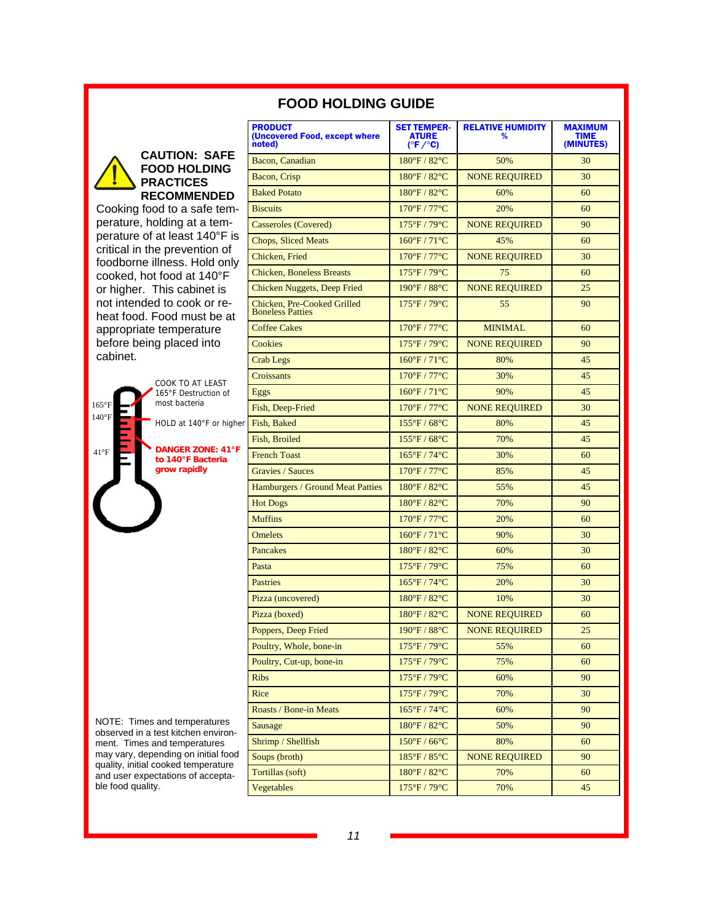|                                                                            | <b>PRODUCT</b><br>(Uncovered Food, except where<br>noted) | <b>SET TEMPER-</b><br><b>ATURE</b><br>$(^{\circ}F/^{\circ}C)$ | <b>RELATIVE HUMIDITY</b><br>% | <b>MAXIMUM</b><br><b>TIME</b><br>(MINUTES) |
|----------------------------------------------------------------------------|-----------------------------------------------------------|---------------------------------------------------------------|-------------------------------|--------------------------------------------|
| <b>CAUTION: SAFE</b><br><b>FOOD HOLDING</b>                                | Bacon, Canadian                                           | 180°F / 82°C                                                  | 50%                           | 30                                         |
| <b>PRACTICES</b>                                                           | Bacon, Crisp                                              | $180^{\circ}$ F / 82 $^{\circ}$ C                             | <b>NONE REQUIRED</b>          | 30                                         |
| <b>RECOMMENDED</b>                                                         | <b>Baked Potato</b>                                       | 180°F / 82°C                                                  | 60%                           | 60                                         |
| Cooking food to a safe tem-                                                | <b>Biscuits</b>                                           | 170°F / 77°C                                                  | 20%                           | 60                                         |
| perature, holding at a tem-                                                | <b>Casseroles</b> (Covered)                               | 175°F/79°C                                                    | <b>NONE REQUIRED</b>          | 90                                         |
| perature of at least 140°F is                                              | <b>Chops, Sliced Meats</b>                                | $160^{\circ}F / 71^{\circ}C$                                  | 45%                           | 60                                         |
| critical in the prevention of<br>foodborne illness. Hold only              | Chicken, Fried                                            | 170°F / 77°C                                                  | <b>NONE REQUIRED</b>          | 30                                         |
| cooked, hot food at 140°F                                                  | <b>Chicken, Boneless Breasts</b>                          | $175^{\circ}F / 79^{\circ}C$                                  | 75                            | 60                                         |
| or higher. This cabinet is                                                 | Chicken Nuggets, Deep Fried                               | 190°F / 88°C                                                  | <b>NONE REQUIRED</b>          | 25                                         |
| not intended to cook or re-<br>heat food. Food must be at                  | Chicken, Pre-Cooked Grilled<br><b>Boneless Patties</b>    | $175^{\circ}$ F / 79 $^{\circ}$ C                             | 55                            | 90                                         |
| appropriate temperature                                                    | <b>Coffee Cakes</b>                                       | 170°F / 77°C                                                  | <b>MINIMAL</b>                | 60                                         |
| before being placed into                                                   | Cookies                                                   | 175°F/79°C                                                    | <b>NONE REQUIRED</b>          | 90                                         |
| cabinet.                                                                   | Crab Legs                                                 | $160^{\circ}F / 71^{\circ}C$                                  | 80%                           | 45                                         |
| COOK TO AT LEAST                                                           | Croissants                                                | 170°F / 77°C                                                  | 30%                           | 45                                         |
| 165°F Destruction of                                                       | Eggs                                                      | $160^{\circ}F / 71^{\circ}C$                                  | 90%                           | 45                                         |
| most bacteria<br>$165^{\circ}$ F                                           | Fish, Deep-Fried                                          | $170^{\circ}$ F / $77^{\circ}$ C                              | <b>NONE REQUIRED</b>          | 30                                         |
| $140^{\circ}$ F<br>HOLD at 140°F or higher Fish, Baked                     |                                                           | $155^{\circ}$ F / 68 $^{\circ}$ C                             | 80%                           | 45                                         |
|                                                                            | Fish, Broiled                                             | $155^{\circ}$ F / 68 $^{\circ}$ C                             | 70%                           | 45                                         |
| <b>DANGER ZONE: 41°F</b><br>$41^{\circ}F$<br>to 140°F Bacteria             | <b>French Toast</b>                                       | $165^{\circ}F / 74^{\circ}C$                                  | 30%                           | 60                                         |
| grow rapidly                                                               | <b>Gravies / Sauces</b>                                   | $170^{\circ}$ F / $77^{\circ}$ C                              | 85%                           | 45                                         |
|                                                                            | Hamburgers / Ground Meat Patties                          | 180°F / 82°C                                                  | 55%                           | 45                                         |
|                                                                            | <b>Hot Dogs</b>                                           | $180^{\circ}$ F / $82^{\circ}$ C                              | 70%                           | 90                                         |
|                                                                            | <b>Muffins</b>                                            | 170°F / 77°C                                                  | 20%                           | 60                                         |
|                                                                            | <b>Omelets</b>                                            | $160^{\circ}F / 71^{\circ}C$                                  | 90%                           | 30                                         |
|                                                                            | <b>Pancakes</b>                                           | $180^{\circ}$ F / $82^{\circ}$ C                              | 60%                           | 30                                         |
|                                                                            | Pasta                                                     | $175^{\circ}$ F / 79 $^{\circ}$ C                             | 75%                           | 60                                         |
|                                                                            | <b>Pastries</b>                                           | $165^{\circ}F / 74^{\circ}C$                                  | 20%                           | 30                                         |
|                                                                            | Pizza (uncovered)                                         | $180^{\circ}$ F / $82^{\circ}$ C                              | 10%                           | 30                                         |
|                                                                            | Pizza (boxed)                                             | $180^{\circ}$ F / $82^{\circ}$ C                              | <b>NONE REQUIRED</b>          | 60                                         |
|                                                                            | Poppers, Deep Fried                                       | $190^{\circ}$ F / 88 $^{\circ}$ C                             | NONE REQUIRED                 | 25                                         |
|                                                                            | Poultry, Whole, bone-in                                   | 175°F / 79°C                                                  | 55%                           | 60                                         |
|                                                                            | Poultry, Cut-up, bone-in                                  | 175°F / 79°C                                                  | 75%                           | 60                                         |
|                                                                            | <b>Ribs</b>                                               | 175°F / 79°C                                                  | 60%                           | 90                                         |
|                                                                            | Rice                                                      | 175°F / 79°C                                                  | 70%                           | 30                                         |
|                                                                            | Roasts / Bone-in Meats                                    | $165^{\circ}F/74^{\circ}C$                                    | 60%                           | 90                                         |
| NOTE: Times and temperatures<br>observed in a test kitchen environ-        | Sausage                                                   | 180°F / 82°C                                                  | 50%                           | 90                                         |
| ment. Times and temperatures                                               | Shrimp / Shellfish                                        | $150^{\circ}$ F / 66 $^{\circ}$ C                             | 80%                           | 60                                         |
| may vary, depending on initial food<br>quality, initial cooked temperature | Soups (broth)                                             | 185°F / 85°C                                                  | <b>NONE REQUIRED</b>          | 90                                         |
| and user expectations of accepta-                                          | Tortillas (soft)                                          | 180°F / 82°C                                                  | 70%                           | 60                                         |
| ble food quality.                                                          | Vegetables                                                | 175°F / 79°C                                                  | 70%                           | 45                                         |

### **FOOD HOLDING GUIDE**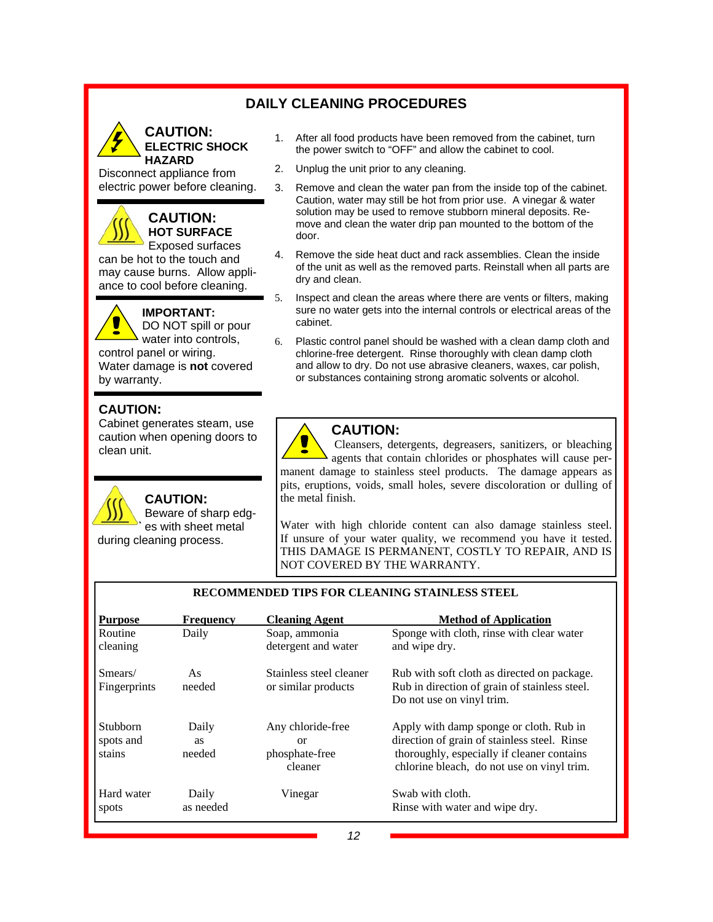### **DAILY CLEANING PROCEDURES**



Disconnect appliance from electric power before cleaning.

### **CAUTION: HOT SURFACE**

Exposed surfaces can be hot to the touch and may cause burns. Allow appliance to cool before cleaning.

- - **IMPORTANT:**  DO NOT spill or pour

water into controls, control panel or wiring. Water damage is **not** covered by warranty.

### **CAUTION:**

Cabinet generates steam, use caution when opening doors to clean unit.



### **CAUTION:**

Beware of sharp edges with sheet metal during cleaning process.

- 1. After all food products have been removed from the cabinet, turn the power switch to "OFF" and allow the cabinet to cool.
- 2. Unplug the unit prior to any cleaning.
- 3. Remove and clean the water pan from the inside top of the cabinet. Caution, water may still be hot from prior use. A vinegar & water solution may be used to remove stubborn mineral deposits. Remove and clean the water drip pan mounted to the bottom of the door.
- 4. Remove the side heat duct and rack assemblies. Clean the inside of the unit as well as the removed parts. Reinstall when all parts are dry and clean.
- 5. Inspect and clean the areas where there are vents or filters, making sure no water gets into the internal controls or electrical areas of the cabinet.
- 6. Plastic control panel should be washed with a clean damp cloth and chlorine-free detergent. Rinse thoroughly with clean damp cloth and allow to dry. Do not use abrasive cleaners, waxes, car polish, or substances containing strong aromatic solvents or alcohol.



### **CAUTION:**

 Cleansers, detergents, degreasers, sanitizers, or bleaching agents that contain chlorides or phosphates will cause permanent damage to stainless steel products. The damage appears as pits, eruptions, voids, small holes, severe discoloration or dulling of the metal finish.

Water with high chloride content can also damage stainless steel. If unsure of your water quality, we recommend you have it tested. THIS DAMAGE IS PERMANENT, COSTLY TO REPAIR, AND IS NOT COVERED BY THE WARRANTY.

| <b>Purpose</b>                  | <b>Frequency</b>             | <b>Cleaning Agent</b>                                | <b>Method of Application</b>                                                                                                                                                        |
|---------------------------------|------------------------------|------------------------------------------------------|-------------------------------------------------------------------------------------------------------------------------------------------------------------------------------------|
| Routine<br>cleaning             | Daily                        | Soap, ammonia<br>detergent and water                 | Sponge with cloth, rinse with clear water<br>and wipe dry.                                                                                                                          |
| Smears/<br>Fingerprints         | As<br>needed                 | Stainless steel cleaner<br>or similar products       | Rub with soft cloth as directed on package.<br>Rub in direction of grain of stainless steel.<br>Do not use on vinyl trim.                                                           |
| Stubborn<br>spots and<br>stains | Daily<br><b>as</b><br>needed | Any chloride-free<br>or<br>phosphate-free<br>cleaner | Apply with damp sponge or cloth. Rub in<br>direction of grain of stainless steel. Rinse<br>thoroughly, especially if cleaner contains<br>chlorine bleach, do not use on vinyl trim. |
| Hard water<br>spots             | Daily<br>as needed           | Vinegar                                              | Swab with cloth.<br>Rinse with water and wipe dry.                                                                                                                                  |

#### **RECOMMENDED TIPS FOR CLEANING STAINLESS STEEL**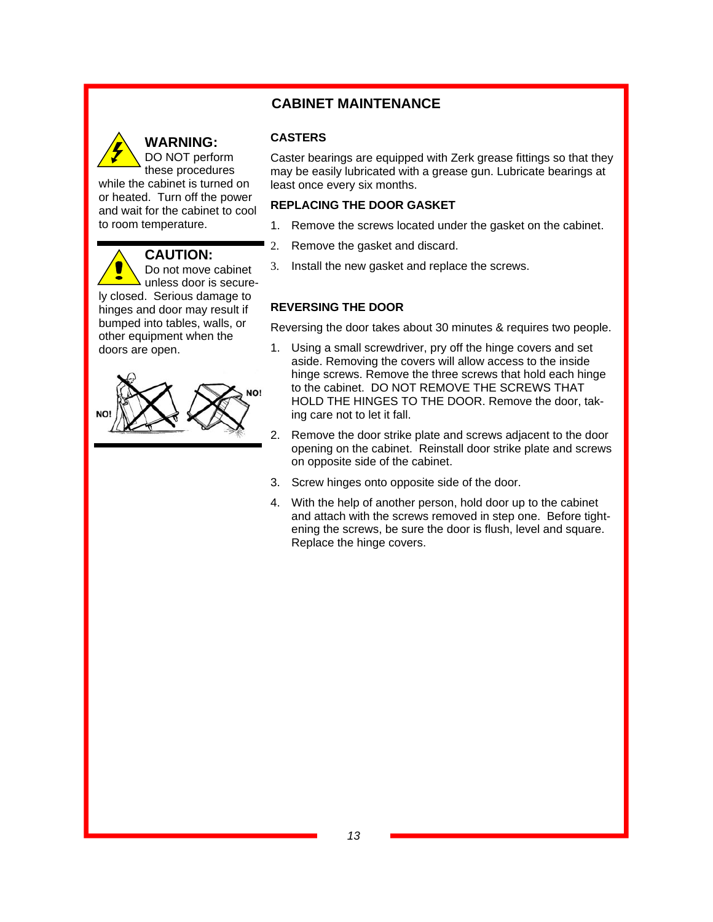### **CABINET MAINTENANCE**



### **WARNING:**

**CASTERS** 

Caster bearings are equipped with Zerk grease fittings so that they may be easily lubricated with a grease gun. Lubricate bearings at least once every six months.

#### **REPLACING THE DOOR GASKET**

- 1. Remove the screws located under the gasket on the cabinet.
- 2. Remove the gasket and discard.
- 3. Install the new gasket and replace the screws.

### **REVERSING THE DOOR**

Reversing the door takes about 30 minutes & requires two people.

- 1. Using a small screwdriver, pry off the hinge covers and set aside. Removing the covers will allow access to the inside hinge screws. Remove the three screws that hold each hinge to the cabinet. DO NOT REMOVE THE SCREWS THAT HOLD THE HINGES TO THE DOOR. Remove the door, taking care not to let it fall.
- 2. Remove the door strike plate and screws adjacent to the door opening on the cabinet. Reinstall door strike plate and screws on opposite side of the cabinet.
- 3. Screw hinges onto opposite side of the door.
- 4. With the help of another person, hold door up to the cabinet and attach with the screws removed in step one. Before tightening the screws, be sure the door is flush, level and square. Replace the hinge covers.

ly closed. Serious damage to hinges and door may result if bumped into tables, walls, or other equipment when the doors are open.

while the cabinet is turned on or heated. Turn off the power and wait for the cabinet to cool

**CAUTION:**

Do not move cabinet unless door is secure-

to room temperature.

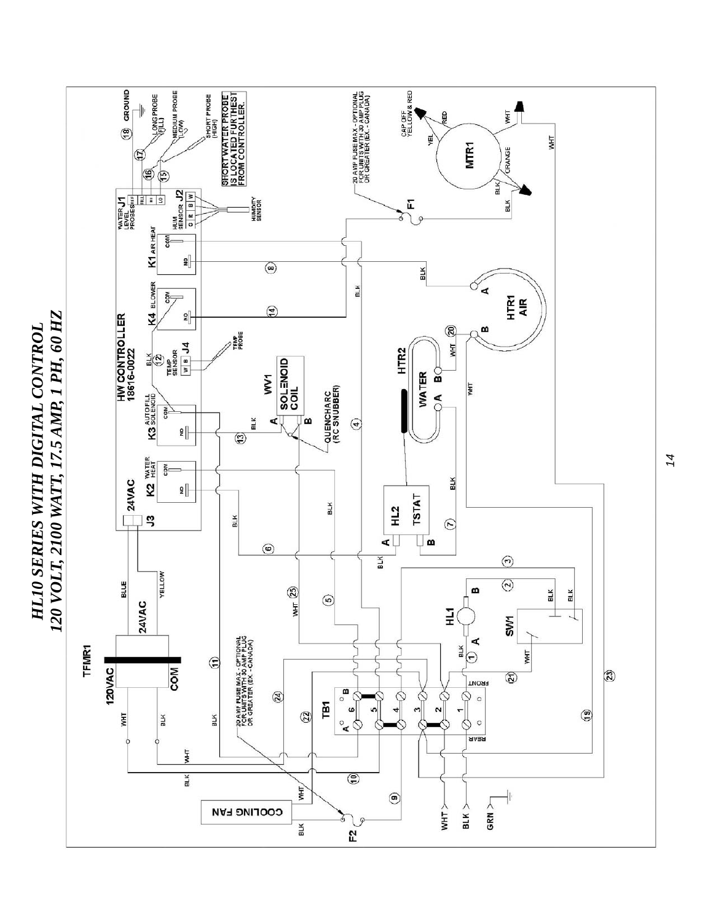

*HL10 SERIES WITH DIGITAL CONTROL* 

HL10 SERIES WITH DIGITAL CONTROL

*14*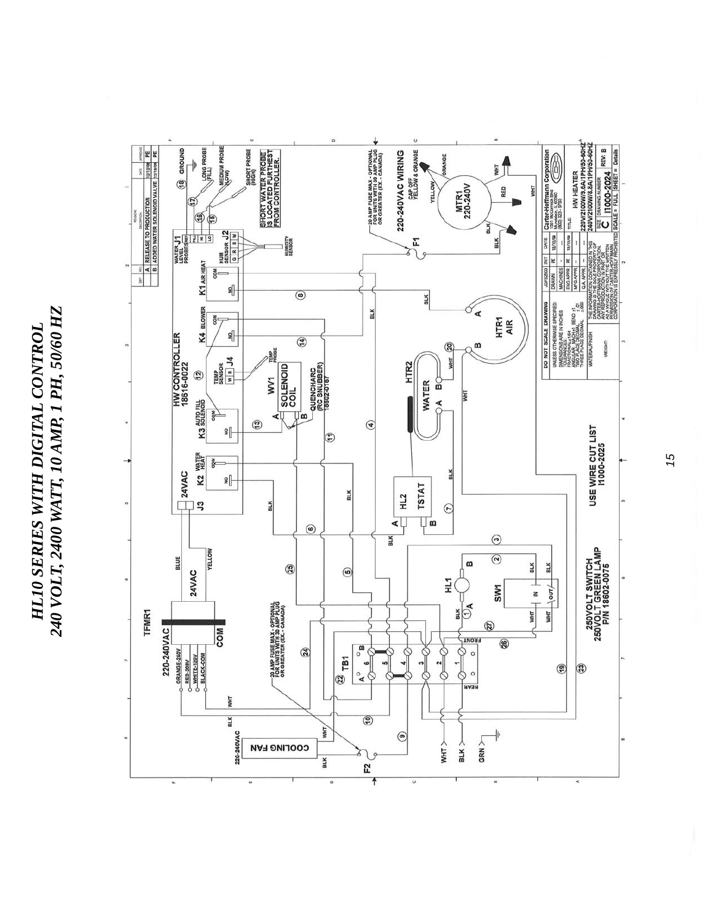*240 VOLT, 2400 WATT, 10 AMP, 1 PH, 50/60 HZ*  240 VOLT, 2400 WATT, 10 AMP, 1 PH, 50/60 HZ *HL10 SERIES WITH DIGITAL CONTROL*  HL10 SERIES WITH DIGITAL CONTROL



*15*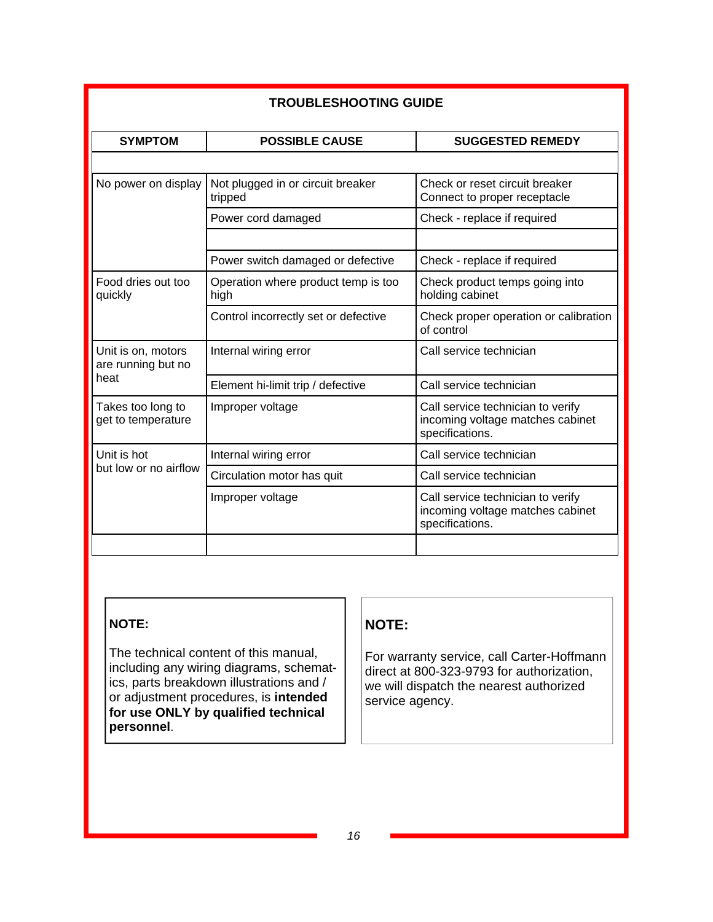| <b>TROUBLESHOOTING GUIDE</b>                     |                                              |                                                                                          |  |  |  |
|--------------------------------------------------|----------------------------------------------|------------------------------------------------------------------------------------------|--|--|--|
| <b>SYMPTOM</b>                                   | <b>POSSIBLE CAUSE</b>                        | <b>SUGGESTED REMEDY</b>                                                                  |  |  |  |
|                                                  |                                              |                                                                                          |  |  |  |
| No power on display                              | Not plugged in or circuit breaker<br>tripped | Check or reset circuit breaker<br>Connect to proper receptacle                           |  |  |  |
|                                                  | Power cord damaged                           | Check - replace if required                                                              |  |  |  |
|                                                  |                                              |                                                                                          |  |  |  |
|                                                  | Power switch damaged or defective            | Check - replace if required                                                              |  |  |  |
| Food dries out too<br>quickly                    | Operation where product temp is too<br>high  | Check product temps going into<br>holding cabinet                                        |  |  |  |
|                                                  | Control incorrectly set or defective         | Check proper operation or calibration<br>of control                                      |  |  |  |
| Unit is on, motors<br>are running but no<br>heat | Internal wiring error                        | Call service technician                                                                  |  |  |  |
|                                                  | Element hi-limit trip / defective            | Call service technician                                                                  |  |  |  |
| Takes too long to<br>get to temperature          | Improper voltage                             | Call service technician to verify<br>incoming voltage matches cabinet<br>specifications. |  |  |  |
| Unit is hot                                      | Internal wiring error                        | Call service technician                                                                  |  |  |  |
| but low or no airflow                            | Circulation motor has quit                   | Call service technician                                                                  |  |  |  |
|                                                  | Improper voltage                             | Call service technician to verify<br>incoming voltage matches cabinet<br>specifications. |  |  |  |
|                                                  |                                              |                                                                                          |  |  |  |

### **NOTE:**

The technical content of this manual, including any wiring diagrams, schematics, parts breakdown illustrations and / or adjustment procedures, is **intended for use ONLY by qualified technical personnel**.

### **NOTE:**

For warranty service, call Carter-Hoffmann direct at 800-323-9793 for authorization, we will dispatch the nearest authorized service agency.